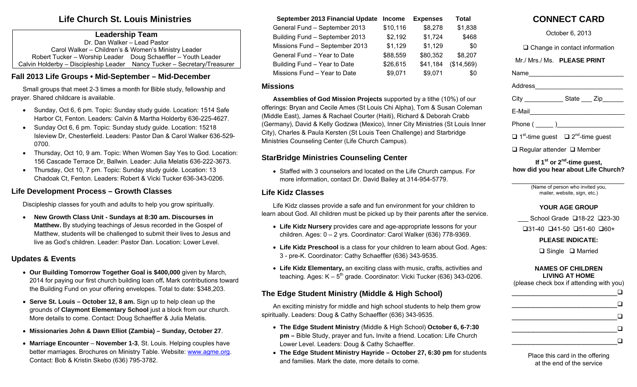# **Life Church St. Louis Ministries**

#### **Leadership Team**

Dr. Dan Walker – Lead Pastor Carol Walker – Children's & Women's Ministry Leader Robert Tucker – Worship Leader Doug Schaeffler – Youth Leader Calvin Holderby – Discipleship Leader Nancy Tucker – Secretary/Treasurer

# **Fall 2013 Life Groups • Mid-September – Mid-December**

 Small groups that meet 2-3 times a month for Bible study, fellowship and prayer. Shared childcare is available.

- Sunday, Oct 6, 6 pm. Topic: Sunday study quide. Location: 1514 Safe Harbor Ct, Fenton. Leaders: Calvin & Martha Holderby 636-225-4627.
- Sunday Oct 6, 6 pm. Topic: Sunday study guide. Location: 15218 Isleview Dr, Chesterfield. Leaders: Pastor Dan & Carol Walker 636-529- 0700.
- Thursday, Oct 10, 9 am. Topic: When Women Say Yes to God. Location: 156 Cascade Terrace Dr, Ballwin. Leader: Julia Melatis 636-222-3673.
- Thursday, Oct 10, 7 pm. Topic: Sunday study guide. Location: 13 Chadoak Ct, Fenton. Leaders: Robert & Vicki Tucker 636-343-0206.

## **Life Development Process – Growth Classes**

Discipleship classes for youth and adults to help you grow spiritually.

 $\bullet$  **New Growth Class Unit - Sundays at 8:30 am. Discourses in Matthew.** By studying teachings of Jesus recorded in the Gospel of Matthew, students will be challenged to submit their lives to Jesus and live as God's children. Leader: Pastor Dan. Location: Lower Level.

## **Updates & Events**

- **Our Building Tomorrow Together Goal is \$400,000** given by March, 2014 for paying our first church building loan off**.** Mark contributions toward the Building Fund on your offering envelopes. Total to date: \$348,203.
- **Serve St. Louis October 12, 8 am.** Sign up to help clean up the grounds of **Claymont Elementary School** just a block from our church. More details to come. Contact: Doug Schaeffler & Julia Melatis.
- **Missionaries John & Dawn Elliot (Zambia) Sunday, October 27**.
- **Marriage Encounter November 1-3**, St. Louis. Helping couples have better marriages. Brochures on Ministry Table. Website: www.agme.org. Contact: Bob & Kristin Skebo (636) 795-3782.

| September 2013 Financial Update | <b>Income</b> | <b>Expenses</b> | Total      |
|---------------------------------|---------------|-----------------|------------|
| General Fund - September 2013   | \$10,116      | \$8,278         | \$1,838    |
| Building Fund - September 2013  | \$2,192       | \$1,724         | \$468      |
| Missions Fund - September 2013  | \$1,129       | \$1,129         | \$0        |
| General Fund - Year to Date     | \$88,559      | \$80,352        | \$8,207    |
| Building Fund - Year to Date    | \$26,615      | \$41,184        | (\$14,569) |
| Missions Fund - Year to Date    | \$9,071       | \$9,071         | \$0        |

## **Missions**

**Assemblies of God Mission Projects** supported by a tithe (10%) of our offerings: Bryan and Cecile Ames (St Louis Chi Alpha), Tom & Susan Coleman (Middle East), James & Rachael Courter (Haiti), Richard & Deborah Crabb (Germany), David & Kelly Godzwa (Mexico), Inner City Ministries (St Louis Inner City), Charles & Paula Kersten (St Louis Teen Challenge) and Starbridge Ministries Counseling Center (Life Church Campus).

## **StarBridge Ministries Counseling Center**

 Staffed with 3 counselors and located on the Life Church campus. For more information, contact Dr. David Bailey at 314-954-5779.

### **Life Kidz Classes**

Life Kidz classes provide a safe and fun environment for your children to learn about God. All children must be picked up by their parents after the service.

- **Life Kidz Nursery** provides care and age-appropriate lessons for your children. Ages: 0 – 2 yrs. Coordinator: Carol Walker (636) 778-9369.
- **Life Kidz Preschool** is a class for your children to learn about God. Ages: 3 - pre-K. Coordinator: Cathy Schaeffler (636) 343-9535.
- **Life Kidz Elementary,** an exciting class with music, crafts, activities and teaching. Ages:  $K - 5<sup>th</sup>$  grade. Coordinator: Vicki Tucker (636) 343-0206.

## **The Edge Student Ministry (Middle & High School)**

An exciting ministry for middle and high school students to help them grow spiritually. Leaders: Doug & Cathy Schaeffler (636) 343-9535.

- **The Edge Student Ministry** (Middle & High School) **October 6, 6-7:30 pm –** Bible Study, prayer and fun**.** Invite a friend. Location: Life Church Lower Level. Leaders: Doug & Cathy Schaeffler.
- **The Edge Student Ministry Hayride October 27, 6:30 pm** for students and families. Mark the date, more details to come.

# **CONNECT CARD**

| October 6, 2013                                                                                    |  |  |  |
|----------------------------------------------------------------------------------------------------|--|--|--|
| $\Box$ Change in contact information                                                               |  |  |  |
| Mr./ Mrs./ Ms. PLEASE PRINT                                                                        |  |  |  |
| Name____________________                                                                           |  |  |  |
| Address___________________                                                                         |  |  |  |
| City _______________State ____ Zip_______                                                          |  |  |  |
| E-Mail_______________________                                                                      |  |  |  |
| Phone ( _____ )__________________                                                                  |  |  |  |
| $\Box$ 1 <sup>st</sup> -time guest $\Box$ 2 <sup>nd</sup> -time guest                              |  |  |  |
| $\Box$ Regular attender $\Box$ Member                                                              |  |  |  |
| If $1^{st}$ or $2^{nd}$ -time guest,<br>how did you hear about Life Church?                        |  |  |  |
| (Name of person who invited you,<br>mailer, website, sign, etc.)                                   |  |  |  |
| <b>YOUR AGE GROUP</b>                                                                              |  |  |  |
| School Grade □18-22 □23-30                                                                         |  |  |  |
| $\square$ 31-40 $\square$ 41-50 $\square$ 51-60 $\square$ 60+<br><b>PLEASE INDICATE:</b>           |  |  |  |
| $\Box$ Single $\Box$ Married                                                                       |  |  |  |
| <b>NAMES OF CHILDREN</b><br><b>LIVING AT HOME</b><br>(please check box if attending with you)<br>⊔ |  |  |  |
|                                                                                                    |  |  |  |
| ❏                                                                                                  |  |  |  |
|                                                                                                    |  |  |  |
| ш                                                                                                  |  |  |  |
|                                                                                                    |  |  |  |

 $\Box$ 

Place this card in the offering at the end of the service